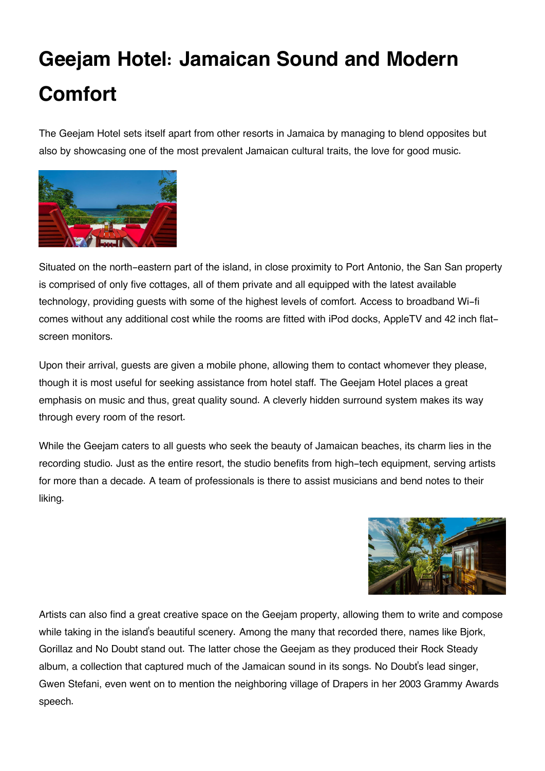## **Geejam Hotel: Jamaican Sound and Modern Comfort**

The Geejam Hotel sets itself apart from other resorts in Jamaica by managing to blend opposites but also by showcasing one of the most prevalent Jamaican cultural traits, the love for good music.



Situated on the north-eastern part of the island, in close proximity to Port Antonio, the San San property is comprised of only five cottages, all of them private and all equipped with the latest available technology, providing guests with some of the highest levels of comfort. Access to broadband Wi-fi comes without any additional cost while the rooms are fitted with iPod docks, AppleTV and 42 inch flatscreen monitors.

Upon their arrival, guests are given a mobile phone, allowing them to contact whomever they please, though it is most useful for seeking assistance from hotel staff. The Geejam Hotel places a great emphasis on music and thus, great quality sound. A cleverly hidden surround system makes its way through every room of the resort.

While the Geejam caters to all guests who seek the beauty of Jamaican beaches, its charm lies in the recording studio. Just as the entire resort, the studio benefits from high-tech equipment, serving artists for more than a decade. A team of professionals is there to assist musicians and bend notes to their liking.



Artists can also find a great creative space on the Geejam property, allowing them to write and compose while taking in the island's beautiful scenery. Among the many that recorded there, names like Bjork, Gorillaz and No Doubt stand out. The latter chose the Geejam as they produced their Rock Steady album, a collection that captured much of the Jamaican sound in its songs. No Doubt's lead singer, Gwen Stefani, even went on to mention the neighboring village of Drapers in her 2003 Grammy Awards speech.